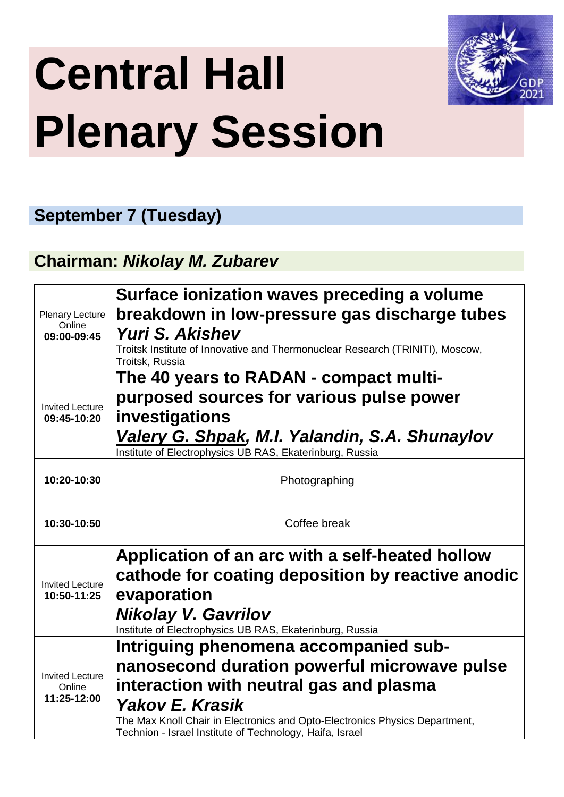# **Central Hall Plenary Session**



### **September 7 (Tuesday)**

#### **Chairman:** *Nikolay M. Zubarev*

|                                  | Surface ionization waves preceding a volume                                                                                             |  |
|----------------------------------|-----------------------------------------------------------------------------------------------------------------------------------------|--|
| <b>Plenary Lecture</b>           | breakdown in low-pressure gas discharge tubes                                                                                           |  |
| Online<br>09:00-09:45            | Yuri S. Akishev                                                                                                                         |  |
|                                  | Troitsk Institute of Innovative and Thermonuclear Research (TRINITI), Moscow,<br>Troitsk, Russia                                        |  |
|                                  | The 40 years to RADAN - compact multi-                                                                                                  |  |
| <b>Invited Lecture</b>           | purposed sources for various pulse power                                                                                                |  |
| 09:45-10:20                      | investigations                                                                                                                          |  |
|                                  | Valery G. Shpak, M.I. Yalandin, S.A. Shunaylov                                                                                          |  |
|                                  | Institute of Electrophysics UB RAS, Ekaterinburg, Russia                                                                                |  |
| 10:20-10:30                      | Photographing                                                                                                                           |  |
|                                  |                                                                                                                                         |  |
| Coffee break<br>10:30-10:50      |                                                                                                                                         |  |
|                                  |                                                                                                                                         |  |
|                                  | Application of an arc with a self-heated hollow                                                                                         |  |
| <b>Invited Lecture</b>           | cathode for coating deposition by reactive anodic                                                                                       |  |
| 10:50-11:25                      | evaporation                                                                                                                             |  |
|                                  | <b>Nikolay V. Gavrilov</b><br>Institute of Electrophysics UB RAS, Ekaterinburg, Russia                                                  |  |
|                                  | Intriguing phenomena accompanied sub-                                                                                                   |  |
|                                  | nanosecond duration powerful microwave pulse                                                                                            |  |
| <b>Invited Lecture</b><br>Online | interaction with neutral gas and plasma                                                                                                 |  |
| 11:25-12:00                      | <b>Yakov E. Krasik</b>                                                                                                                  |  |
|                                  | The Max Knoll Chair in Electronics and Opto-Electronics Physics Department,<br>Technion - Israel Institute of Technology, Haifa, Israel |  |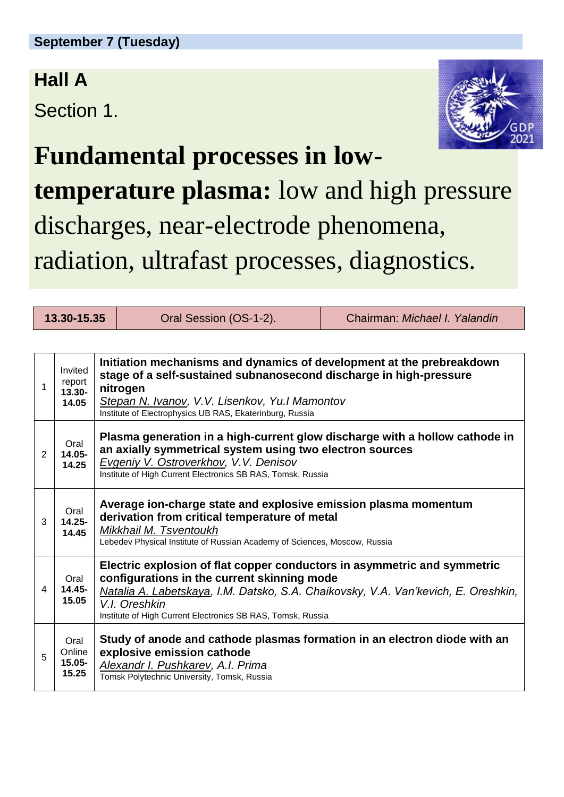### **Hall A**

Section 1.



**Fundamental processes in lowtemperature plasma:** low and high pressure discharges, near-electrode phenomena, radiation, ultrafast processes, diagnostics.

**13.30-15.35** Oral Session (OS-1-2). Chairman: *Michael I. Yalandin*

| 1 | Invited<br>report<br>$13.30 -$<br>14.05 | Initiation mechanisms and dynamics of development at the prebreakdown<br>stage of a self-sustained subnanosecond discharge in high-pressure<br>nitrogen<br>Stepan N. Ivanov, V.V. Lisenkov, Yu.I Mamontov<br>Institute of Electrophysics UB RAS, Ekaterinburg, Russia                         |
|---|-----------------------------------------|-----------------------------------------------------------------------------------------------------------------------------------------------------------------------------------------------------------------------------------------------------------------------------------------------|
| 2 | Oral<br>14.05-<br>14.25                 | Plasma generation in a high-current glow discharge with a hollow cathode in<br>an axially symmetrical system using two electron sources<br>Evgeniy V. Ostroverkhov, V.V. Denisov<br>Institute of High Current Electronics SB RAS, Tomsk, Russia                                               |
| 3 | Oral<br>$14.25 -$<br>14.45              | Average ion-charge state and explosive emission plasma momentum<br>derivation from critical temperature of metal<br>Mikkhail M. Tsventoukh<br>Lebedev Physical Institute of Russian Academy of Sciences, Moscow, Russia                                                                       |
| 4 | Oral<br>14.45-<br>15.05                 | Electric explosion of flat copper conductors in asymmetric and symmetric<br>configurations in the current skinning mode<br>Natalia A. Labetskaya, I.M. Datsko, S.A. Chaikovsky, V.A. Van'kevich, E. Oreshkin,<br>V.I. Oreshkin<br>Institute of High Current Electronics SB RAS, Tomsk, Russia |
| 5 | Oral<br>Online<br>$15.05 -$<br>15.25    | Study of anode and cathode plasmas formation in an electron diode with an<br>explosive emission cathode<br>Alexandr I. Pushkarev, A.I. Prima<br>Tomsk Polytechnic University, Tomsk, Russia                                                                                                   |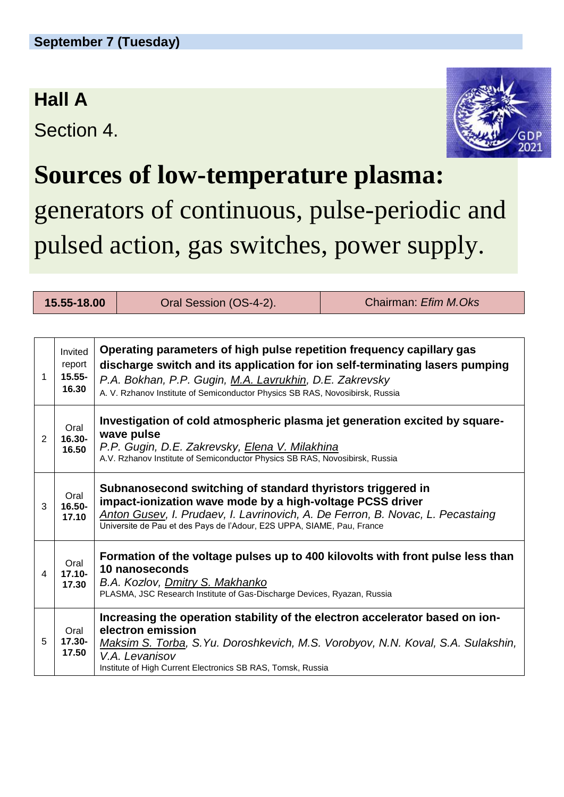### **Hall A**

Section 4.



### **Sources of low-temperature plasma:**

### generators of continuous, pulse-periodic and pulsed action, gas switches, power supply.

| 15.55-18.00 |                                         | Oral Session (OS-4-2).                                                                                                                                                                                                                                                                           | Chairman: Efim M.Oks |  |  |
|-------------|-----------------------------------------|--------------------------------------------------------------------------------------------------------------------------------------------------------------------------------------------------------------------------------------------------------------------------------------------------|----------------------|--|--|
|             |                                         |                                                                                                                                                                                                                                                                                                  |                      |  |  |
| 1           | Invited<br>report<br>$15.55 -$<br>16.30 | Operating parameters of high pulse repetition frequency capillary gas<br>discharge switch and its application for ion self-terminating lasers pumping<br>P.A. Bokhan, P.P. Gugin, M.A. Lavrukhin, D.E. Zakrevsky<br>A. V. Rzhanov Institute of Semiconductor Physics SB RAS, Novosibirsk, Russia |                      |  |  |
| 2           | Oral<br>16.30-<br>16.50                 | Investigation of cold atmospheric plasma jet generation excited by square-<br>wave pulse<br>P.P. Gugin, D.E. Zakrevsky, Elena V. Milakhina<br>A.V. Rzhanov Institute of Semiconductor Physics SB RAS, Novosibirsk, Russia                                                                        |                      |  |  |
| 3           | Oral<br>16.50-<br>17.10                 | Subnanosecond switching of standard thyristors triggered in<br>impact-ionization wave mode by a high-voltage PCSS driver<br>Anton Gusev, I. Prudaev, I. Lavrinovich, A. De Ferron, B. Novac, L. Pecastaing<br>Universite de Pau et des Pays de l'Adour, E2S UPPA, SIAME, Pau, France             |                      |  |  |
| 4           | Oral<br>$17.10 -$<br>17.30              | Formation of the voltage pulses up to 400 kilovolts with front pulse less than<br>10 nanoseconds<br>B.A. Kozlov, Dmitry S. Makhanko<br>PLASMA, JSC Research Institute of Gas-Discharge Devices, Ryazan, Russia                                                                                   |                      |  |  |
| 5           | Oral<br>17.30-<br>17.50                 | Increasing the operation stability of the electron accelerator based on ion-<br>electron emission<br>Maksim S. Torba, S. Yu. Doroshkevich, M.S. Vorobyov, N.N. Koval, S.A. Sulakshin,<br>V.A. Levanisov<br>Institute of High Current Electronics SB RAS, Tomsk, Russia                           |                      |  |  |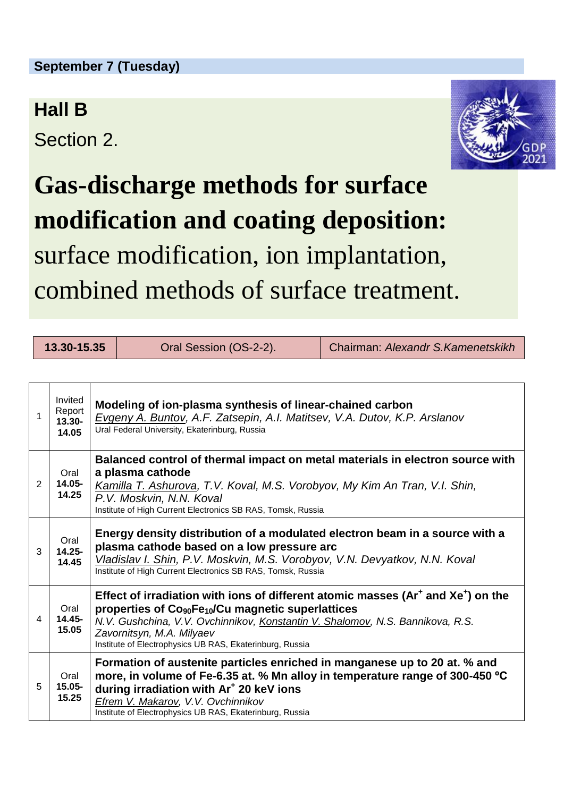#### **September 7 (Tuesday)**

#### **Hall B**

Section 2.



# **Gas-discharge methods for surface modification and coating deposition:** surface modification, ion implantation, combined methods of surface treatment.

| 13.30-15.35 |                                         |                                                                                                                                                                                                                                                                                                                                                | Oral Session (OS-2-2). | Chairman: Alexandr S.Kamenetskikh |
|-------------|-----------------------------------------|------------------------------------------------------------------------------------------------------------------------------------------------------------------------------------------------------------------------------------------------------------------------------------------------------------------------------------------------|------------------------|-----------------------------------|
|             |                                         |                                                                                                                                                                                                                                                                                                                                                |                        |                                   |
| 1           | Invited<br>Report<br>$13.30 -$<br>14.05 | Modeling of ion-plasma synthesis of linear-chained carbon<br>Evgeny A. Buntov, A.F. Zatsepin, A.I. Matitsev, V.A. Dutov, K.P. Arslanov<br>Ural Federal University, Ekaterinburg, Russia                                                                                                                                                        |                        |                                   |
| 2           | Oral<br>14.05-<br>14.25                 | Balanced control of thermal impact on metal materials in electron source with<br>a plasma cathode<br>Kamilla T. Ashurova, T.V. Koval, M.S. Vorobyov, My Kim An Tran, V.I. Shin,<br>P.V. Moskvin, N.N. Koval<br>Institute of High Current Electronics SB RAS, Tomsk, Russia                                                                     |                        |                                   |
| 3           | Oral<br>$14.25 -$<br>14.45              | Energy density distribution of a modulated electron beam in a source with a<br>plasma cathode based on a low pressure arc<br>Vladislav I. Shin, P.V. Moskvin, M.S. Vorobyov, V.N. Devyatkov, N.N. Koval<br>Institute of High Current Electronics SB RAS, Tomsk, Russia                                                                         |                        |                                   |
| 4           | Oral<br>14.45-<br>15.05                 | Effect of irradiation with ions of different atomic masses ( $Ar+$ and $Xe+$ ) on the<br>properties of Co <sub>90</sub> Fe <sub>10</sub> /Cu magnetic superlattices<br>N.V. Gushchina, V.V. Ovchinnikov, Konstantin V. Shalomov, N.S. Bannikova, R.S.<br>Zavornitsyn, M.A. Milyaev<br>Institute of Electrophysics UB RAS, Ekaterinburg, Russia |                        |                                   |
| 5           | Oral<br>15.05-<br>15.25                 | Formation of austenite particles enriched in manganese up to 20 at. % and<br>more, in volume of Fe-6.35 at. % Mn alloy in temperature range of 300-450 °C<br>during irradiation with Ar <sup>+</sup> 20 keV ions<br>Efrem V. Makarov, V.V. Ovchinnikov<br>Institute of Electrophysics UB RAS, Ekaterinburg, Russia                             |                        |                                   |